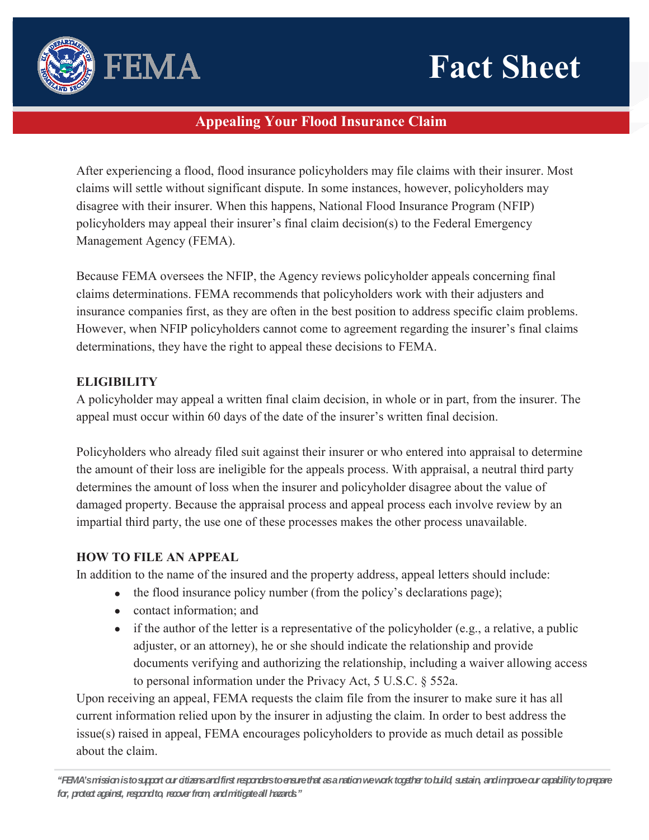# **Fact Sheet**



## **Appealing Your Flood Insurance Claim**

After experiencing a flood, flood insurance policyholders may file claims with their insurer. Most claims will settle without significant dispute. In some instances, however, policyholders may disagree with their insurer. When this happens, National Flood Insurance Program (NFIP) policyholders may appeal their insurer's final claim decision(s) to the Federal Emergency Management Agency (FEMA).

Because FEMA oversees the NFIP, the Agency reviews policyholder appeals concerning final claims determinations. FEMA recommends that policyholders work with their adjusters and insurance companies first, as they are often in the best position to address specific claim problems. However, when NFIP policyholders cannot come to agreement regarding the insurer's final claims determinations, they have the right to appeal these decisions to FEMA.

### **ELIGIBILITY**

A policyholder may appeal a written final claim decision, in whole or in part, from the insurer. The appeal must occur within 60 days of the date of the insurer's written final decision.

Policyholders who already filed suit against their insurer or who entered into appraisal to determine the amount of their loss are ineligible for the appeals process. With appraisal, a neutral third party determines the amount of loss when the insurer and policyholder disagree about the value of damaged property. Because the appraisal process and appeal process each involve review by an impartial third party, the use one of these processes makes the other process unavailable.

## **HOW TO FILE AN APPEAL**

In addition to the name of the insured and the property address, appeal letters should include:

- $\bullet$  the flood insurance policy number (from the policy's declarations page);
- $\bullet$  contact information; and
- $\bullet$  if the author of the letter is a representative of the policyholder (e.g., a relative, a public adjuster, or an attorney), he or she should indicate the relationship and provide documents verifying and authorizing the relationship, including a waiver allowing access to personal information under the Privacy Act, 5 U.S.C. § 552a.

Upon receiving an appeal, FEMA requests the claim file from the insurer to make sure it has all current information relied upon by the insurer in adjusting the claim. In order to best address the issue(s) raised in appeal, FEMA encourages policyholders to provide as much detail as possible about the claim.